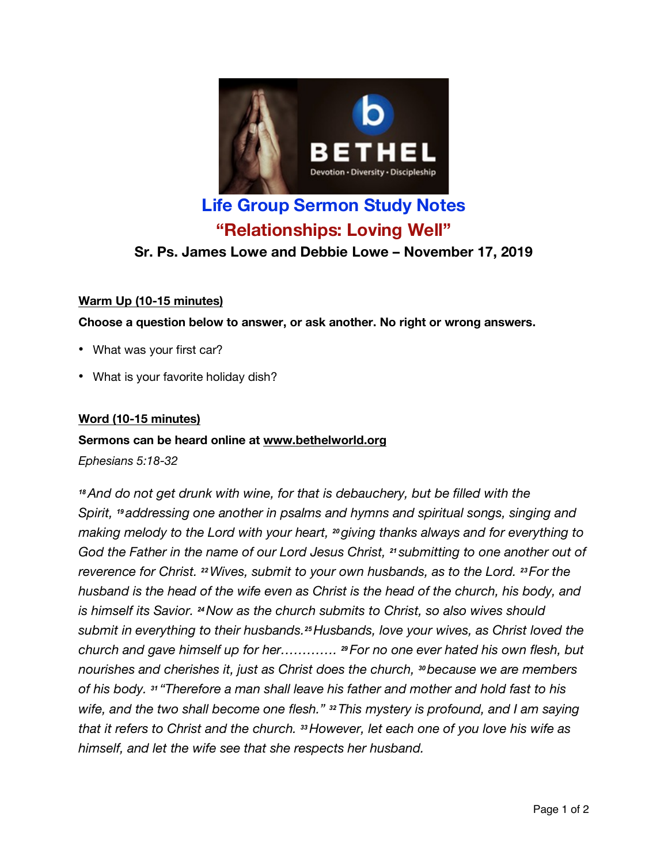

# **Life Group Sermon Study Notes "Relationships: Loving Well"**

# **Sr. Ps. James Lowe and Debbie Lowe – November 17, 2019**

# **Warm Up (10-15 minutes)**

**Choose a question below to answer, or ask another. No right or wrong answers.**

- What was your first car?
- What is your favorite holiday dish?

# **Word (10-15 minutes)**

# **Sermons can be heard online at www.bethelworld.org**

*Ephesians 5:18-32*

*<sup>18</sup>And do not get drunk with wine, for that is debauchery, but be filled with the Spirit, <sup>19</sup> addressing one another in psalms and hymns and spiritual songs, singing and making melody to the Lord with your heart, <sup>20</sup>giving thanks always and for everything to God the Father in the name of our Lord Jesus Christ, <sup>21</sup> submitting to one another out of reverence for Christ. <sup>22</sup>Wives, submit to your own husbands, as to the Lord. <sup>23</sup>For the husband is the head of the wife even as Christ is the head of the church, his body, and is himself its Savior. <sup>24</sup>Now as the church submits to Christ, so also wives should submit in everything to their husbands.25Husbands, love your wives, as Christ loved the church and gave himself up for her…………. <sup>29</sup>For no one ever hated his own flesh, but nourishes and cherishes it, just as Christ does the church, <sup>30</sup>because we are members of his body. <sup>31</sup> "Therefore a man shall leave his father and mother and hold fast to his wife, and the two shall become one flesh." <sup>32</sup>This mystery is profound, and I am saying that it refers to Christ and the church. <sup>33</sup>However, let each one of you love his wife as himself, and let the wife see that she respects her husband.*